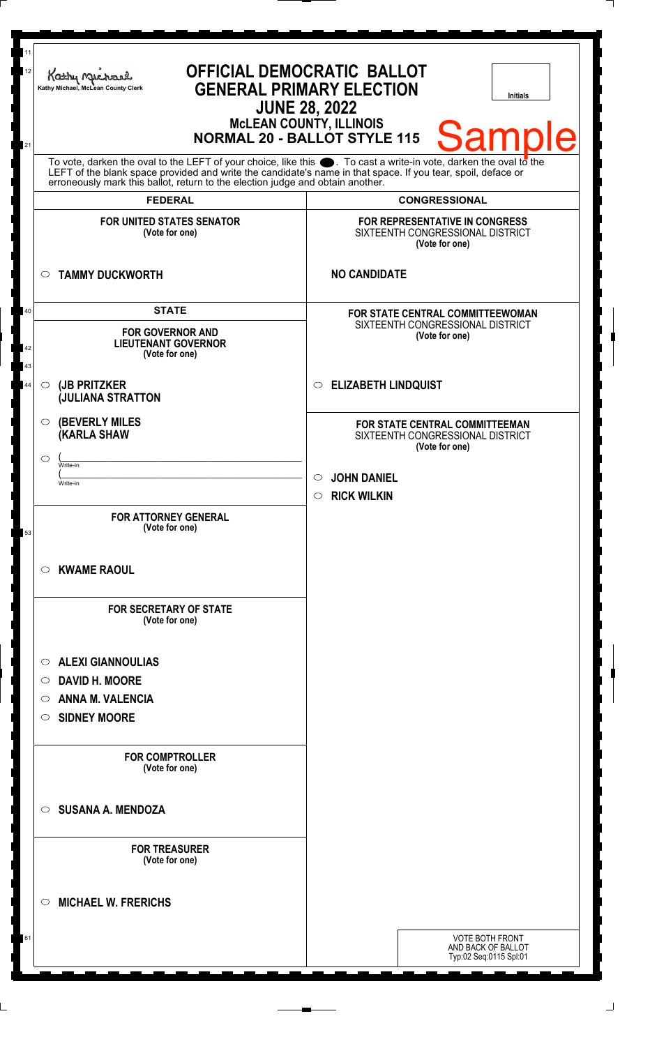| 11<br>12 | Kathy Michael<br>Kathy Michael, McLean County Clerk                                                                                                                                                                                  | <b>OFFICIAL DEMOCRATIC BALLOT</b><br><b>GENERAL PRIMARY ELECTION</b><br>Initials<br><b>JUNE 28, 2022</b><br><b>MCLEAN COUNTY, ILLINOIS</b><br><b>Sample</b><br><b>NORMAL 20 - BALLOT STYLE 115</b> |
|----------|--------------------------------------------------------------------------------------------------------------------------------------------------------------------------------------------------------------------------------------|----------------------------------------------------------------------------------------------------------------------------------------------------------------------------------------------------|
| 21       | To vote, darken the oval to the LEFT of your choice, like this $\bullet$ . To cast a write-in vote, darken the oval to the LEFT of the blank space provided and write the candidate's name in that space. If you tear, spoil, deface |                                                                                                                                                                                                    |
|          | erroneously mark this ballot, return to the election judge and obtain another.                                                                                                                                                       |                                                                                                                                                                                                    |
|          | <b>FEDERAL</b>                                                                                                                                                                                                                       | <b>CONGRESSIONAL</b>                                                                                                                                                                               |
|          | <b>FOR UNITED STATES SENATOR</b><br>(Vote for one)                                                                                                                                                                                   | FOR REPRESENTATIVE IN CONGRESS<br>SIXTEENTH CONGRESSIONAL DISTRICT<br>(Vote for one)                                                                                                               |
|          | <b>TAMMY DUCKWORTH</b><br>$\circ$                                                                                                                                                                                                    | <b>NO CANDIDATE</b>                                                                                                                                                                                |
| 40<br>42 | <b>STATE</b><br><b>FOR GOVERNOR AND</b><br><b>LIEUTENANT GOVERNOR</b><br>(Vote for one)                                                                                                                                              | FOR STATE CENTRAL COMMITTEEWOMAN<br>SIXTEENTH CONGRESSIONAL DISTRICT<br>(Vote for one)                                                                                                             |
| 43<br>44 | (JB PRITZKER<br>$\circlearrowright$<br><b>JULIANA STRATTON</b>                                                                                                                                                                       | <b>ELIZABETH LINDQUIST</b><br>$\bigcirc$                                                                                                                                                           |
|          | <b>(BEVERLY MILES)</b><br>O<br><b>(KARLA SHAW</b>                                                                                                                                                                                    | <b>FOR STATE CENTRAL COMMITTEEMAN</b><br>SIXTEENTH CONGRESSIONAL DISTRICT<br>(Vote for one)                                                                                                        |
|          | ◯<br>Write-in                                                                                                                                                                                                                        |                                                                                                                                                                                                    |
|          | Write-in                                                                                                                                                                                                                             | <b>JOHN DANIEL</b><br><b>RICK WILKIN</b><br>$\circ$                                                                                                                                                |
| 53       | <b>FOR ATTORNEY GENERAL</b><br>(Vote for one)                                                                                                                                                                                        |                                                                                                                                                                                                    |
|          | <b>KWAME RAOUL</b><br>O                                                                                                                                                                                                              |                                                                                                                                                                                                    |
|          | <b>FOR SECRETARY OF STATE</b><br>(Vote for one)                                                                                                                                                                                      |                                                                                                                                                                                                    |
|          | <b>ALEXI GIANNOULIAS</b><br>O                                                                                                                                                                                                        |                                                                                                                                                                                                    |
|          | <b>DAVID H. MOORE</b><br>O                                                                                                                                                                                                           |                                                                                                                                                                                                    |
|          | <b>ANNA M. VALENCIA</b><br>O                                                                                                                                                                                                         |                                                                                                                                                                                                    |
|          | <b>SIDNEY MOORE</b><br>O                                                                                                                                                                                                             |                                                                                                                                                                                                    |
|          | <b>FOR COMPTROLLER</b><br>(Vote for one)                                                                                                                                                                                             |                                                                                                                                                                                                    |
|          | <b>SUSANA A. MENDOZA</b><br>$\circ$                                                                                                                                                                                                  |                                                                                                                                                                                                    |
|          | <b>FOR TREASURER</b><br>(Vote for one)                                                                                                                                                                                               |                                                                                                                                                                                                    |
|          | <b>MICHAEL W. FRERICHS</b><br>◯                                                                                                                                                                                                      |                                                                                                                                                                                                    |
| 61       |                                                                                                                                                                                                                                      | VOTE BOTH FRONT<br>AND BACK OF BALLOT<br>Typ:02 Seq:0115 Spl:01                                                                                                                                    |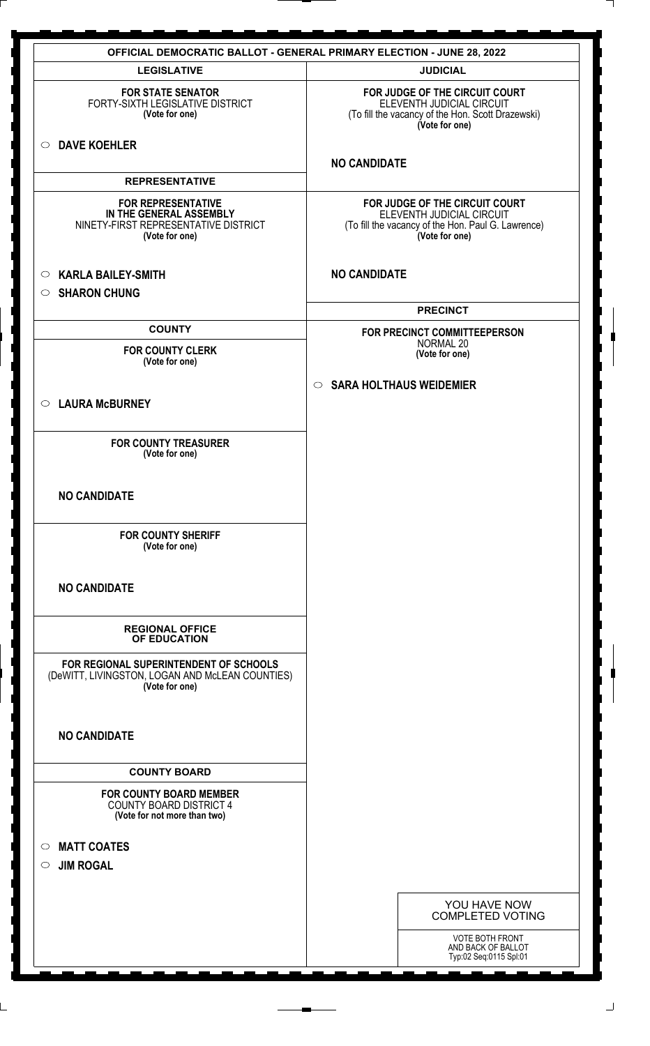| <b>OFFICIAL DEMOCRATIC BALLOT - GENERAL PRIMARY ELECTION - JUNE 28, 2022</b>                                   |                                                                                                                                     |  |
|----------------------------------------------------------------------------------------------------------------|-------------------------------------------------------------------------------------------------------------------------------------|--|
| <b>LEGISLATIVE</b>                                                                                             | <b>JUDICIAL</b>                                                                                                                     |  |
| <b>FOR STATE SENATOR</b><br>FORTY-SIXTH LEGISLATIVE DISTRICT<br>(Vote for one)                                 | FOR JUDGE OF THE CIRCUIT COURT<br>ELEVENTH JUDICIAL CIRCUIT<br>(To fill the vacancy of the Hon. Scott Drazewski)<br>(Vote for one)  |  |
| O DAVE KOEHLER                                                                                                 | <b>NO CANDIDATE</b>                                                                                                                 |  |
| <b>REPRESENTATIVE</b>                                                                                          |                                                                                                                                     |  |
| <b>FOR REPRESENTATIVE</b><br>IN THE GENERAL ASSEMBLY<br>NINETY-FIRST REPRESENTATIVE DISTRICT<br>(Vote for one) | FOR JUDGE OF THE CIRCUIT COURT<br>ELEVENTH JUDICIAL CIRCUIT<br>(To fill the vacancy of the Hon. Paul G. Lawrence)<br>(Vote for one) |  |
| <b>KARLA BAILEY-SMITH</b><br>$\circ$<br><b>SHARON CHUNG</b><br>$\circ$                                         | <b>NO CANDIDATE</b>                                                                                                                 |  |
|                                                                                                                | <b>PRECINCT</b>                                                                                                                     |  |
| <b>COUNTY</b>                                                                                                  | FOR PRECINCT COMMITTEEPERSON                                                                                                        |  |
| <b>FOR COUNTY CLERK</b><br>(Vote for one)                                                                      | NORMAL 20<br>(Vote for one)                                                                                                         |  |
| ○ LAURA McBURNEY                                                                                               | <b>SARA HOLTHAUS WEIDEMIER</b><br>$\circ$                                                                                           |  |
| <b>FOR COUNTY TREASURER</b><br>(Vote for one)                                                                  |                                                                                                                                     |  |
| <b>NO CANDIDATE</b>                                                                                            |                                                                                                                                     |  |
| <b>FOR COUNTY SHERIFF</b><br>(Vote for one)                                                                    |                                                                                                                                     |  |
| <b>NO CANDIDATE</b>                                                                                            |                                                                                                                                     |  |
| <b>REGIONAL OFFICE</b><br>OF EDUCATION                                                                         |                                                                                                                                     |  |
| FOR REGIONAL SUPERINTENDENT OF SCHOOLS<br>(DeWITT, LIVINGSTON, LOGAN AND McLEAN COUNTIES)<br>(Vote for one)    |                                                                                                                                     |  |
| <b>NO CANDIDATE</b>                                                                                            |                                                                                                                                     |  |
| <b>COUNTY BOARD</b>                                                                                            |                                                                                                                                     |  |
| <b>FOR COUNTY BOARD MEMBER</b><br><b>COUNTY BOARD DISTRICT 4</b><br>(Vote for not more than two)               |                                                                                                                                     |  |
| <b>MATT COATES</b><br>$\circ$<br><b>JIM ROGAL</b><br>$\circ$                                                   |                                                                                                                                     |  |
|                                                                                                                | YOU HAVE NOW<br><b>COMPLETED VOTING</b>                                                                                             |  |
|                                                                                                                | VOTE BOTH FRONT<br>AND BACK OF BALLOT<br>Typ:02 Seq:0115 Spl:01                                                                     |  |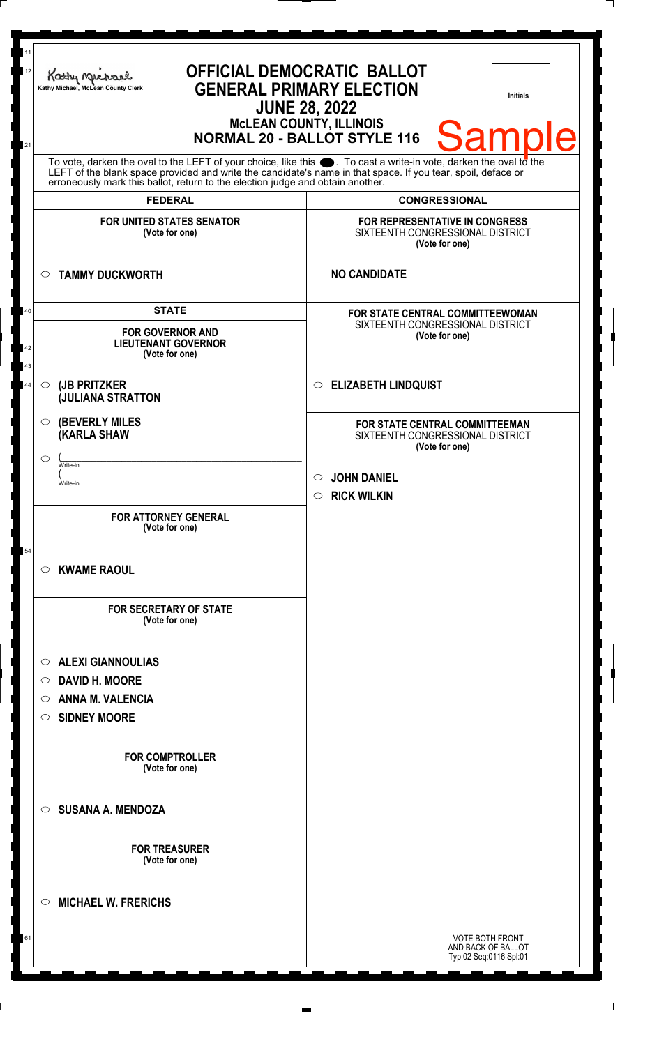| 11<br>12       | <b>OFFICIAL DEMOCRATIC BALLOT</b><br>Kathy Me<br><b>GENERAL PRIMARY ELECTION</b><br>Kathy Michael, McLean County Clerk<br><b>JUNE 28, 2022</b>                                                                                                                                                                         | <b>Initials</b>                                                                        |
|----------------|------------------------------------------------------------------------------------------------------------------------------------------------------------------------------------------------------------------------------------------------------------------------------------------------------------------------|----------------------------------------------------------------------------------------|
| 21             |                                                                                                                                                                                                                                                                                                                        | McLEAN COUNTY, ILLINOIS<br>NORMAL 20 - BALLOT STYLE 116<br><b>Sample</b>               |
|                | To vote, darken the oval to the LEFT of your choice, like this $\bullet$ . To cast a write-in vote, darken the oval to the LEFT of the blank space provided and write the candidate's name in that space. If you tear, spoil, deface<br>erroneously mark this ballot, return to the election judge and obtain another. |                                                                                        |
|                | <b>FEDERAL</b>                                                                                                                                                                                                                                                                                                         | <b>CONGRESSIONAL</b>                                                                   |
|                | <b>FOR UNITED STATES SENATOR</b><br>(Vote for one)                                                                                                                                                                                                                                                                     | FOR REPRESENTATIVE IN CONGRESS<br>SIXTEENTH CONGRESSIONAL DISTRICT<br>(Vote for one)   |
|                | <b>TAMMY DUCKWORTH</b><br>$\circ$                                                                                                                                                                                                                                                                                      | <b>NO CANDIDATE</b>                                                                    |
| 40<br>42<br>43 | <b>STATE</b><br><b>FOR GOVERNOR AND</b><br><b>LIEUTENANT GOVERNOR</b><br>(Vote for one)                                                                                                                                                                                                                                | FOR STATE CENTRAL COMMITTEEWOMAN<br>SIXTEENTH CONGRESSIONAL DISTRICT<br>(Vote for one) |
| 44             | (JB PRITZKER<br>$\circ$<br><b>JULIANA STRATTON</b>                                                                                                                                                                                                                                                                     | <b>ELIZABETH LINDQUIST</b><br>$\bigcirc$                                               |
|                | <b>(BEVERLY MILES)</b><br>$\circ$<br><b>KARLA SHAW</b>                                                                                                                                                                                                                                                                 | FOR STATE CENTRAL COMMITTEEMAN<br>SIXTEENTH CONGRESSIONAL DISTRICT<br>(Vote for one)   |
|                | ◯<br>Write-in<br>Write-in                                                                                                                                                                                                                                                                                              | <b>JOHN DANIEL</b><br><b>RICK WILKIN</b><br>$\circ$                                    |
|                | <b>FOR ATTORNEY GENERAL</b><br>(Vote for one)                                                                                                                                                                                                                                                                          |                                                                                        |
| 54             | <b>KWAME RAOUL</b><br>$\bigcirc$                                                                                                                                                                                                                                                                                       |                                                                                        |
|                | <b>FOR SECRETARY OF STATE</b><br>(Vote for one)                                                                                                                                                                                                                                                                        |                                                                                        |
|                | <b>ALEXI GIANNOULIAS</b><br>$\circ$                                                                                                                                                                                                                                                                                    |                                                                                        |
|                | <b>DAVID H. MOORE</b><br>O                                                                                                                                                                                                                                                                                             |                                                                                        |
|                | <b>ANNA M. VALENCIA</b><br>O                                                                                                                                                                                                                                                                                           |                                                                                        |
|                | <b>SIDNEY MOORE</b><br>$\circ$                                                                                                                                                                                                                                                                                         |                                                                                        |
|                | <b>FOR COMPTROLLER</b><br>(Vote for one)                                                                                                                                                                                                                                                                               |                                                                                        |
|                | <b>SUSANA A. MENDOZA</b><br>$\circ$                                                                                                                                                                                                                                                                                    |                                                                                        |
|                | <b>FOR TREASURER</b><br>(Vote for one)                                                                                                                                                                                                                                                                                 |                                                                                        |
|                | <b>MICHAEL W. FRERICHS</b><br>◯                                                                                                                                                                                                                                                                                        |                                                                                        |
| 61             |                                                                                                                                                                                                                                                                                                                        | <b>VOTE BOTH FRONT</b><br>AND BACK OF BALLOT<br>Typ:02 Seq:0116 Spl:01                 |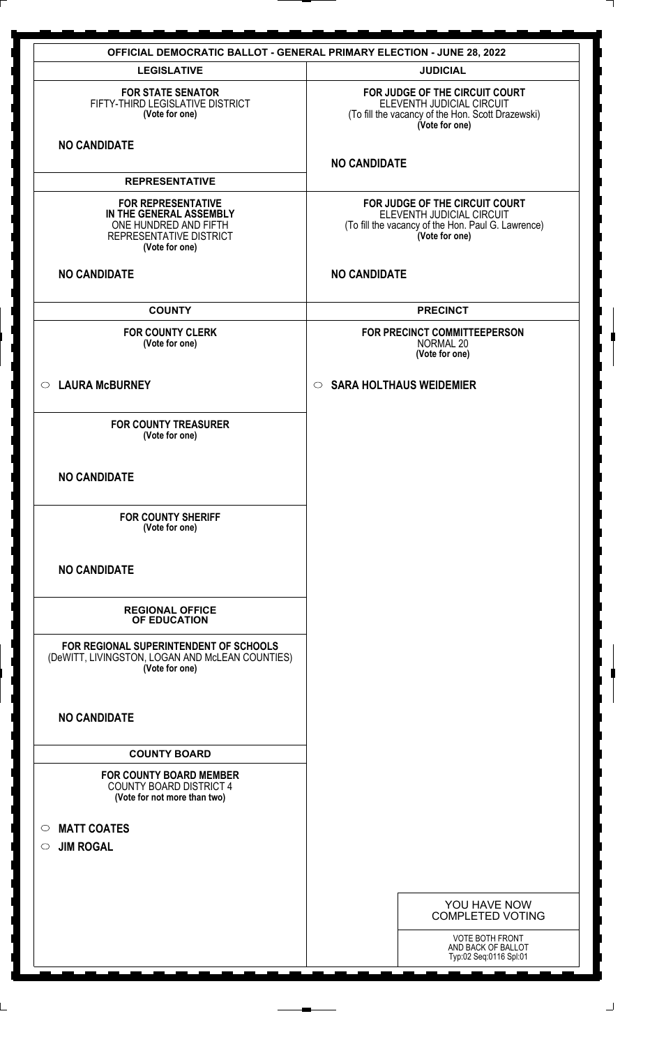| <b>LEGISLATIVE</b><br><b>JUDICIAL</b><br>FOR JUDGE OF THE CIRCUIT COURT<br><b>FOR STATE SENATOR</b><br>FIFTY-THIRD LEGISLATIVE DISTRICT<br>ELEVENTH JUDICIAL CIRCUIT<br>(Vote for one)<br>(To fill the vacancy of the Hon. Scott Drazewski)<br>(Vote for one)<br><b>NO CANDIDATE</b><br><b>NO CANDIDATE</b><br><b>REPRESENTATIVE</b><br><b>FOR REPRESENTATIVE</b><br>FOR JUDGE OF THE CIRCUIT COURT<br>ELEVENTH JUDICIAL CIRCUIT<br>IN THE GENERAL ASSEMBLY<br>ONE HUNDRED AND FIFTH<br>(To fill the vacancy of the Hon. Paul G. Lawrence)<br>(Vote for one)<br>REPRESENTATIVE DISTRICT<br>(Vote for one)<br><b>NO CANDIDATE</b><br><b>NO CANDIDATE</b><br><b>COUNTY</b><br><b>PRECINCT</b><br><b>FOR COUNTY CLERK</b><br>FOR PRECINCT COMMITTEEPERSON<br>(Vote for one)<br>NORMAL 20<br>(Vote for one)<br>○ LAURA McBURNEY<br><b>SARA HOLTHAUS WEIDEMIER</b><br>$\circ$<br><b>FOR COUNTY TREASURER</b><br>(Vote for one)<br><b>NO CANDIDATE</b><br><b>FOR COUNTY SHERIFF</b><br>(Vote for one)<br><b>NO CANDIDATE</b><br><b>REGIONAL OFFICE</b><br>OF EDUCATION<br>FOR REGIONAL SUPERINTENDENT OF SCHOOLS<br>(DeWITT, LIVINGSTON, LOGAN AND McLEAN COUNTIES)<br>(Vote for one)<br><b>NO CANDIDATE</b><br><b>COUNTY BOARD</b><br><b>FOR COUNTY BOARD MEMBER</b><br><b>COUNTY BOARD DISTRICT 4</b><br>(Vote for not more than two)<br><b>MATT COATES</b><br>$\circ$<br><b>JIM ROGAL</b><br>$\circ$<br>YOU HAVE NOW<br><b>COMPLETED VOTING</b><br><b>VOTE BOTH FRONT</b><br>AND BACK OF BALLOT<br>Typ:02 Seq:0116 Spl:01 | <b>OFFICIAL DEMOCRATIC BALLOT - GENERAL PRIMARY ELECTION - JUNE 28, 2022</b> |  |  |
|------------------------------------------------------------------------------------------------------------------------------------------------------------------------------------------------------------------------------------------------------------------------------------------------------------------------------------------------------------------------------------------------------------------------------------------------------------------------------------------------------------------------------------------------------------------------------------------------------------------------------------------------------------------------------------------------------------------------------------------------------------------------------------------------------------------------------------------------------------------------------------------------------------------------------------------------------------------------------------------------------------------------------------------------------------------------------------------------------------------------------------------------------------------------------------------------------------------------------------------------------------------------------------------------------------------------------------------------------------------------------------------------------------------------------------------------------------------------------------------------------------------------|------------------------------------------------------------------------------|--|--|
|                                                                                                                                                                                                                                                                                                                                                                                                                                                                                                                                                                                                                                                                                                                                                                                                                                                                                                                                                                                                                                                                                                                                                                                                                                                                                                                                                                                                                                                                                                                        |                                                                              |  |  |
|                                                                                                                                                                                                                                                                                                                                                                                                                                                                                                                                                                                                                                                                                                                                                                                                                                                                                                                                                                                                                                                                                                                                                                                                                                                                                                                                                                                                                                                                                                                        |                                                                              |  |  |
|                                                                                                                                                                                                                                                                                                                                                                                                                                                                                                                                                                                                                                                                                                                                                                                                                                                                                                                                                                                                                                                                                                                                                                                                                                                                                                                                                                                                                                                                                                                        |                                                                              |  |  |
|                                                                                                                                                                                                                                                                                                                                                                                                                                                                                                                                                                                                                                                                                                                                                                                                                                                                                                                                                                                                                                                                                                                                                                                                                                                                                                                                                                                                                                                                                                                        |                                                                              |  |  |
|                                                                                                                                                                                                                                                                                                                                                                                                                                                                                                                                                                                                                                                                                                                                                                                                                                                                                                                                                                                                                                                                                                                                                                                                                                                                                                                                                                                                                                                                                                                        |                                                                              |  |  |
|                                                                                                                                                                                                                                                                                                                                                                                                                                                                                                                                                                                                                                                                                                                                                                                                                                                                                                                                                                                                                                                                                                                                                                                                                                                                                                                                                                                                                                                                                                                        |                                                                              |  |  |
|                                                                                                                                                                                                                                                                                                                                                                                                                                                                                                                                                                                                                                                                                                                                                                                                                                                                                                                                                                                                                                                                                                                                                                                                                                                                                                                                                                                                                                                                                                                        |                                                                              |  |  |
|                                                                                                                                                                                                                                                                                                                                                                                                                                                                                                                                                                                                                                                                                                                                                                                                                                                                                                                                                                                                                                                                                                                                                                                                                                                                                                                                                                                                                                                                                                                        |                                                                              |  |  |
|                                                                                                                                                                                                                                                                                                                                                                                                                                                                                                                                                                                                                                                                                                                                                                                                                                                                                                                                                                                                                                                                                                                                                                                                                                                                                                                                                                                                                                                                                                                        |                                                                              |  |  |
|                                                                                                                                                                                                                                                                                                                                                                                                                                                                                                                                                                                                                                                                                                                                                                                                                                                                                                                                                                                                                                                                                                                                                                                                                                                                                                                                                                                                                                                                                                                        |                                                                              |  |  |
|                                                                                                                                                                                                                                                                                                                                                                                                                                                                                                                                                                                                                                                                                                                                                                                                                                                                                                                                                                                                                                                                                                                                                                                                                                                                                                                                                                                                                                                                                                                        |                                                                              |  |  |
|                                                                                                                                                                                                                                                                                                                                                                                                                                                                                                                                                                                                                                                                                                                                                                                                                                                                                                                                                                                                                                                                                                                                                                                                                                                                                                                                                                                                                                                                                                                        |                                                                              |  |  |
|                                                                                                                                                                                                                                                                                                                                                                                                                                                                                                                                                                                                                                                                                                                                                                                                                                                                                                                                                                                                                                                                                                                                                                                                                                                                                                                                                                                                                                                                                                                        |                                                                              |  |  |
|                                                                                                                                                                                                                                                                                                                                                                                                                                                                                                                                                                                                                                                                                                                                                                                                                                                                                                                                                                                                                                                                                                                                                                                                                                                                                                                                                                                                                                                                                                                        |                                                                              |  |  |
|                                                                                                                                                                                                                                                                                                                                                                                                                                                                                                                                                                                                                                                                                                                                                                                                                                                                                                                                                                                                                                                                                                                                                                                                                                                                                                                                                                                                                                                                                                                        |                                                                              |  |  |
|                                                                                                                                                                                                                                                                                                                                                                                                                                                                                                                                                                                                                                                                                                                                                                                                                                                                                                                                                                                                                                                                                                                                                                                                                                                                                                                                                                                                                                                                                                                        |                                                                              |  |  |
|                                                                                                                                                                                                                                                                                                                                                                                                                                                                                                                                                                                                                                                                                                                                                                                                                                                                                                                                                                                                                                                                                                                                                                                                                                                                                                                                                                                                                                                                                                                        |                                                                              |  |  |
|                                                                                                                                                                                                                                                                                                                                                                                                                                                                                                                                                                                                                                                                                                                                                                                                                                                                                                                                                                                                                                                                                                                                                                                                                                                                                                                                                                                                                                                                                                                        |                                                                              |  |  |
|                                                                                                                                                                                                                                                                                                                                                                                                                                                                                                                                                                                                                                                                                                                                                                                                                                                                                                                                                                                                                                                                                                                                                                                                                                                                                                                                                                                                                                                                                                                        |                                                                              |  |  |
|                                                                                                                                                                                                                                                                                                                                                                                                                                                                                                                                                                                                                                                                                                                                                                                                                                                                                                                                                                                                                                                                                                                                                                                                                                                                                                                                                                                                                                                                                                                        |                                                                              |  |  |
|                                                                                                                                                                                                                                                                                                                                                                                                                                                                                                                                                                                                                                                                                                                                                                                                                                                                                                                                                                                                                                                                                                                                                                                                                                                                                                                                                                                                                                                                                                                        |                                                                              |  |  |
|                                                                                                                                                                                                                                                                                                                                                                                                                                                                                                                                                                                                                                                                                                                                                                                                                                                                                                                                                                                                                                                                                                                                                                                                                                                                                                                                                                                                                                                                                                                        |                                                                              |  |  |
|                                                                                                                                                                                                                                                                                                                                                                                                                                                                                                                                                                                                                                                                                                                                                                                                                                                                                                                                                                                                                                                                                                                                                                                                                                                                                                                                                                                                                                                                                                                        |                                                                              |  |  |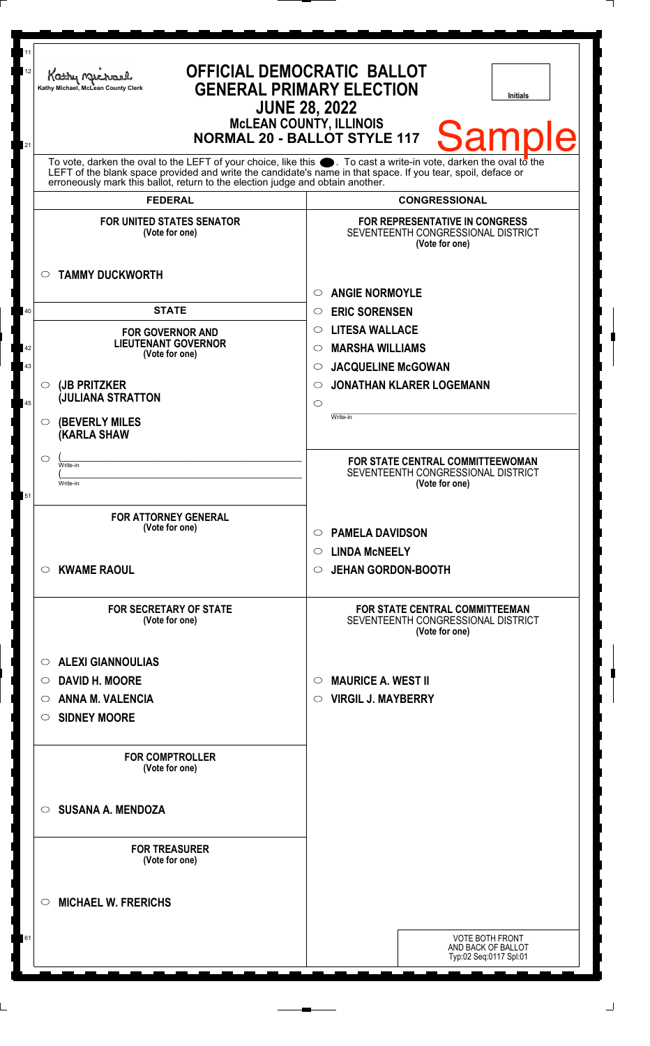| 11<br>12 | Kathy Mac<br>Kathy Michael, McLean County Clerk                                | <b>OFFICIAL DEMOCRATIC BALLOT</b><br><b>GENERAL PRIMARY ELECTION</b><br>Initials<br><b>JUNE 28, 2022</b>                                                                                                             |
|----------|--------------------------------------------------------------------------------|----------------------------------------------------------------------------------------------------------------------------------------------------------------------------------------------------------------------|
| 21       |                                                                                | <b>McLEAN COUNTY, ILLINOIS</b><br><b>Sample</b><br><b>NORMAL 20 - BALLOT STYLE 117</b><br>To vote, darken the oval to the LEFT of your choice, like this $\bullet$ . To cast a write-in vote, darken the oval to the |
|          | erroneously mark this ballot, return to the election judge and obtain another. | LEFT of the blank space provided and write the candidate's name in that space. If you tear, spoil, deface or                                                                                                         |
|          | <b>FEDERAL</b>                                                                 | <b>CONGRESSIONAL</b>                                                                                                                                                                                                 |
|          | <b>FOR UNITED STATES SENATOR</b><br>(Vote for one)                             | <b>FOR REPRESENTATIVE IN CONGRESS</b><br>SEVENTEENTH CONGRESSIONAL DISTRICT<br>(Vote for one)                                                                                                                        |
|          | <b>TAMMY DUCKWORTH</b><br>$\circ$                                              | <b>ANGIE NORMOYLE</b><br>$\bigcirc$                                                                                                                                                                                  |
| 40       | <b>STATE</b>                                                                   | <b>ERIC SORENSEN</b><br>$\circ$                                                                                                                                                                                      |
|          | <b>FOR GOVERNOR AND</b>                                                        | <b>LITESA WALLACE</b><br>$\circ$                                                                                                                                                                                     |
| 42       | <b>LIEUTENANT GOVERNOR</b><br>(Vote for one)                                   | <b>MARSHA WILLIAMS</b><br>◯                                                                                                                                                                                          |
| 43       |                                                                                | <b>JACQUELINE McGOWAN</b><br>$\circ$                                                                                                                                                                                 |
|          | $\circ$ (JB PRITZKER                                                           | <b>JONATHAN KLARER LOGEMANN</b><br>◯                                                                                                                                                                                 |
| 45       | <b>JULIANA STRATTON</b>                                                        | $\circ$                                                                                                                                                                                                              |
|          | <b>(BEVERLY MILES</b><br>$\circ$<br><b>(KARLA SHAW</b>                         | Write-in                                                                                                                                                                                                             |
|          | $\circlearrowright$<br>Write-in                                                | FOR STATE CENTRAL COMMITTEEWOMAN                                                                                                                                                                                     |
|          | Write-in                                                                       | SEVENTEENTH CONGRESSIONAL DISTRICT<br>(Vote for one)                                                                                                                                                                 |
| 51       |                                                                                |                                                                                                                                                                                                                      |
|          | <b>FOR ATTORNEY GENERAL</b>                                                    |                                                                                                                                                                                                                      |
|          | (Vote for one)                                                                 | <b>PAMELA DAVIDSON</b><br>$\circ$                                                                                                                                                                                    |
|          |                                                                                | <b>LINDA MCNEELY</b><br>$\circ$                                                                                                                                                                                      |
|          | <b>KWAME RAOUL</b><br>$\circ$                                                  | <b>JEHAN GORDON-BOOTH</b><br>$\circ$                                                                                                                                                                                 |
|          |                                                                                |                                                                                                                                                                                                                      |
|          | <b>FOR SECRETARY OF STATE</b><br>(Vote for one)                                | <b>FOR STATE CENTRAL COMMITTEEMAN</b><br>SEVENTEENTH CONGRESSIONAL DISTRICT<br>(Vote for one)                                                                                                                        |
|          | <b>ALEXI GIANNOULIAS</b><br>$\circ$                                            |                                                                                                                                                                                                                      |
|          | <b>DAVID H. MOORE</b><br>$\circ$                                               | <b>MAURICE A. WEST II</b><br>$\circlearrowright$                                                                                                                                                                     |
|          | <b>ANNA M. VALENCIA</b><br>$\circ$                                             | <b>VIRGIL J. MAYBERRY</b><br>$\circ$                                                                                                                                                                                 |
|          | <b>SIDNEY MOORE</b><br>O                                                       |                                                                                                                                                                                                                      |
|          |                                                                                |                                                                                                                                                                                                                      |
|          | <b>FOR COMPTROLLER</b><br>(Vote for one)                                       |                                                                                                                                                                                                                      |
|          | <b>SUSANA A. MENDOZA</b><br>$\circ$                                            |                                                                                                                                                                                                                      |
|          | <b>FOR TREASURER</b><br>(Vote for one)                                         |                                                                                                                                                                                                                      |
|          | <b>MICHAEL W. FRERICHS</b><br>$\circ$                                          |                                                                                                                                                                                                                      |
| 61       |                                                                                | <b>VOTE BOTH FRONT</b><br>AND BACK OF BALLOT<br>Typ:02 Seq:0117 Spl:01                                                                                                                                               |

 $\Box$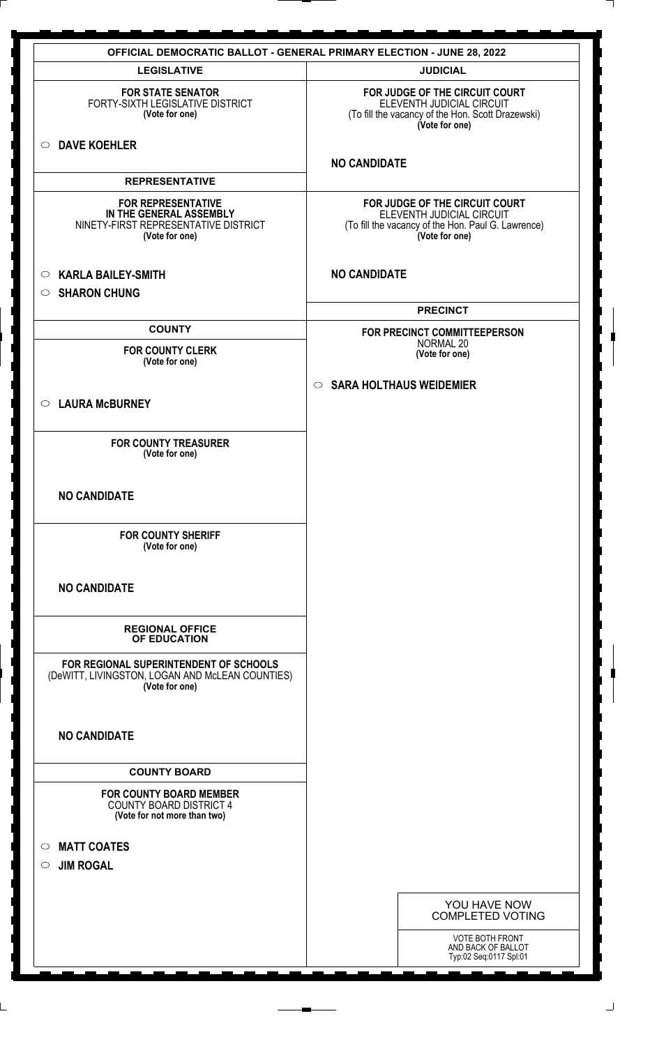| <b>OFFICIAL DEMOCRATIC BALLOT - GENERAL PRIMARY ELECTION - JUNE 28, 2022</b>                                   |                                                                                                                                     |  |
|----------------------------------------------------------------------------------------------------------------|-------------------------------------------------------------------------------------------------------------------------------------|--|
| <b>LEGISLATIVE</b>                                                                                             | <b>JUDICIAL</b>                                                                                                                     |  |
| <b>FOR STATE SENATOR</b><br>FORTY-SIXTH LEGISLATIVE DISTRICT<br>(Vote for one)                                 | FOR JUDGE OF THE CIRCUIT COURT<br>ELEVENTH JUDICIAL CIRCUIT<br>(To fill the vacancy of the Hon. Scott Drazewski)<br>(Vote for one)  |  |
| O DAVE KOEHLER                                                                                                 | <b>NO CANDIDATE</b>                                                                                                                 |  |
| <b>REPRESENTATIVE</b>                                                                                          |                                                                                                                                     |  |
| <b>FOR REPRESENTATIVE</b><br>IN THE GENERAL ASSEMBLY<br>NINETY-FIRST REPRESENTATIVE DISTRICT<br>(Vote for one) | FOR JUDGE OF THE CIRCUIT COURT<br>ELEVENTH JUDICIAL CIRCUIT<br>(To fill the vacancy of the Hon. Paul G. Lawrence)<br>(Vote for one) |  |
| <b>KARLA BAILEY-SMITH</b><br>$\circ$<br><b>SHARON CHUNG</b><br>$\circ$                                         | <b>NO CANDIDATE</b>                                                                                                                 |  |
|                                                                                                                | <b>PRECINCT</b>                                                                                                                     |  |
| <b>COUNTY</b>                                                                                                  | FOR PRECINCT COMMITTEEPERSON                                                                                                        |  |
| <b>FOR COUNTY CLERK</b><br>(Vote for one)                                                                      | NORMAL 20<br>(Vote for one)                                                                                                         |  |
|                                                                                                                | <b>SARA HOLTHAUS WEIDEMIER</b><br>$\circ$                                                                                           |  |
| ○ LAURA McBURNEY                                                                                               |                                                                                                                                     |  |
| <b>FOR COUNTY TREASURER</b><br>(Vote for one)                                                                  |                                                                                                                                     |  |
| <b>NO CANDIDATE</b>                                                                                            |                                                                                                                                     |  |
| <b>FOR COUNTY SHERIFF</b><br>(Vote for one)                                                                    |                                                                                                                                     |  |
| <b>NO CANDIDATE</b>                                                                                            |                                                                                                                                     |  |
| <b>REGIONAL OFFICE</b><br>OF EDUCATION                                                                         |                                                                                                                                     |  |
| FOR REGIONAL SUPERINTENDENT OF SCHOOLS<br>(DeWITT, LIVINGSTON, LOGAN AND McLEAN COUNTIES)<br>(Vote for one)    |                                                                                                                                     |  |
| <b>NO CANDIDATE</b>                                                                                            |                                                                                                                                     |  |
| <b>COUNTY BOARD</b>                                                                                            |                                                                                                                                     |  |
| <b>FOR COUNTY BOARD MEMBER</b><br><b>COUNTY BOARD DISTRICT 4</b><br>(Vote for not more than two)               |                                                                                                                                     |  |
| <b>MATT COATES</b><br>$\circ$                                                                                  |                                                                                                                                     |  |
| <b>JIM ROGAL</b><br>$\circ$                                                                                    |                                                                                                                                     |  |
|                                                                                                                | YOU HAVE NOW<br><b>COMPLETED VOTING</b>                                                                                             |  |
|                                                                                                                | VOTE BOTH FRONT<br>AND BACK OF BALLOT<br>Typ:02 Seq:0117 Spl:01                                                                     |  |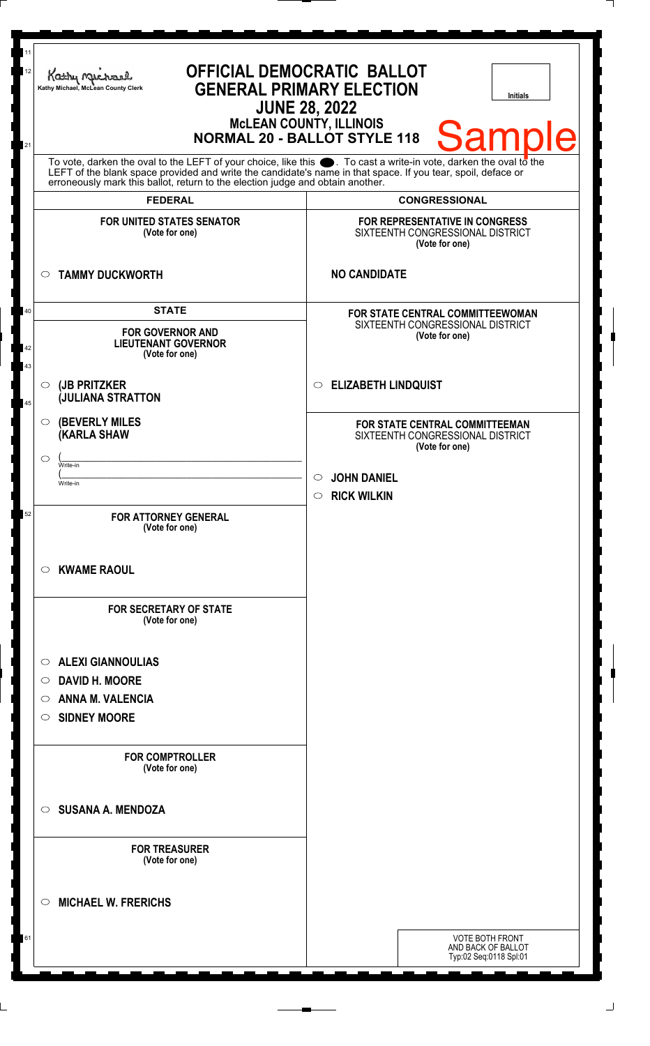| 12       | Kathy Mus<br>Kathy Michael, McLean County Clerk                                                                                                                                                                                                                                                                        | <b>OFFICIAL DEMOCRATIC BALLOT</b><br><b>GENERAL PRIMARY ELECTION</b><br><b>Initials</b><br><b>JUNE 28, 2022</b> |
|----------|------------------------------------------------------------------------------------------------------------------------------------------------------------------------------------------------------------------------------------------------------------------------------------------------------------------------|-----------------------------------------------------------------------------------------------------------------|
| 21       |                                                                                                                                                                                                                                                                                                                        | <b>MCLEAN COUNTY, ILLINOIS</b><br><b>Sample</b><br><b>NORMAL 20 - BALLOT STYLE 118</b>                          |
|          | To vote, darken the oval to the LEFT of your choice, like this $\bullet$ . To cast a write-in vote, darken the oval to the LEFT of the boral to the LEFT of the blank space provided and write the candidate's name in that space. I<br>erroneously mark this ballot, return to the election judge and obtain another. |                                                                                                                 |
|          | <b>FEDERAL</b>                                                                                                                                                                                                                                                                                                         | <b>CONGRESSIONAL</b>                                                                                            |
|          | <b>FOR UNITED STATES SENATOR</b><br>(Vote for one)                                                                                                                                                                                                                                                                     | FOR REPRESENTATIVE IN CONGRESS<br>SIXTEENTH CONGRESSIONAL DISTRICT<br>(Vote for one)                            |
|          | <b>TAMMY DUCKWORTH</b><br>$\circ$                                                                                                                                                                                                                                                                                      | <b>NO CANDIDATE</b>                                                                                             |
| 40       | <b>STATE</b>                                                                                                                                                                                                                                                                                                           | FOR STATE CENTRAL COMMITTEEWOMAN                                                                                |
| 42<br>43 | <b>FOR GOVERNOR AND</b><br><b>LIEUTENANT GOVERNOR</b><br>(Vote for one)                                                                                                                                                                                                                                                | SIXTEENTH CONGRESSIONAL DISTRICT<br>(Vote for one)                                                              |
| 45       | (JB PRITZKER<br>$\circ$<br><b>JULIANA STRATTON</b>                                                                                                                                                                                                                                                                     | <b>ELIZABETH LINDQUIST</b><br>$\circ$                                                                           |
|          | <b>(BEVERLY MILES)</b><br>$\circ$<br><b>(KARLA SHAW</b>                                                                                                                                                                                                                                                                | FOR STATE CENTRAL COMMITTEEMAN<br>SIXTEENTH CONGRESSIONAL DISTRICT<br>(Vote for one)                            |
|          | $\circ$<br>Write-in                                                                                                                                                                                                                                                                                                    |                                                                                                                 |
|          | Write-in                                                                                                                                                                                                                                                                                                               | <b>JOHN DANIEL</b>                                                                                              |
|          |                                                                                                                                                                                                                                                                                                                        | <b>RICK WILKIN</b><br>$\circ$                                                                                   |
| 52       | <b>FOR ATTORNEY GENERAL</b><br>(Vote for one)                                                                                                                                                                                                                                                                          |                                                                                                                 |
|          | <b>KWAME RAOUL</b><br>$\circ$                                                                                                                                                                                                                                                                                          |                                                                                                                 |
|          | <b>FOR SECRETARY OF STATE</b><br>(Vote for one)                                                                                                                                                                                                                                                                        |                                                                                                                 |
|          | <b>ALEXI GIANNOULIAS</b><br>$\circ$                                                                                                                                                                                                                                                                                    |                                                                                                                 |
|          | <b>DAVID H. MOORE</b><br>$\circ$                                                                                                                                                                                                                                                                                       |                                                                                                                 |
|          | <b>ANNA M. VALENCIA</b><br>$\circ$                                                                                                                                                                                                                                                                                     |                                                                                                                 |
|          | <b>SIDNEY MOORE</b><br>$\circ$                                                                                                                                                                                                                                                                                         |                                                                                                                 |
|          | <b>FOR COMPTROLLER</b><br>(Vote for one)                                                                                                                                                                                                                                                                               |                                                                                                                 |
|          | <b>SUSANA A. MENDOZA</b><br>$\circ$                                                                                                                                                                                                                                                                                    |                                                                                                                 |
|          | <b>FOR TREASURER</b><br>(Vote for one)                                                                                                                                                                                                                                                                                 |                                                                                                                 |
|          | <b>MICHAEL W. FRERICHS</b><br>$\circ$                                                                                                                                                                                                                                                                                  |                                                                                                                 |
| 61       |                                                                                                                                                                                                                                                                                                                        | <b>VOTE BOTH FRONT</b><br>AND BACK OF BALLOT<br>Typ:02 Seq:0118 Spl:01                                          |